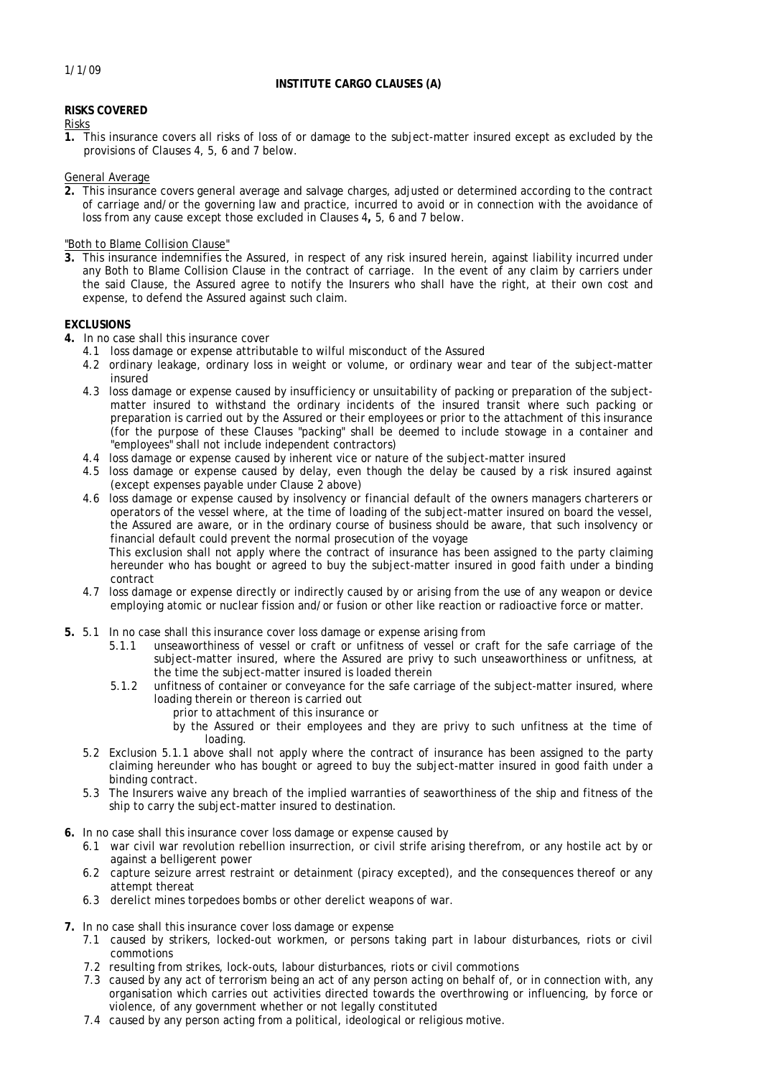# **INSTITUTE CARGO CLAUSES (A)**

# **RISKS COVERED**

# Risks

**1.** This insurance covers all risks of loss of or damage to the subject-matter insured except as excluded by the provisions of Clauses 4, 5, 6 and 7 below.

General Average

**2.** This insurance covers general average and salvage charges, adjusted or determined according to the contract of carriage and/or the governing law and practice, incurred to avoid or in connection with the avoidance of loss from any cause except those excluded in Clauses 4**,** 5, 6 and 7 below.

"Both to Blame Collision Clause"

**3.** This insurance indemnifies the Assured, in respect of any risk insured herein, against liability incurred under any Both to Blame Collision Clause in the contract of carriage. In the event of any claim by carriers under the said Clause, the Assured agree to notify the Insurers who shall have the right, at their own cost and expense, to defend the Assured against such claim.

## **EXCLUSIONS**

**4.** In no case shall this insurance cover

- 4.1 loss damage or expense attributable to wilful misconduct of the Assured
- 4.2 ordinary leakage, ordinary loss in weight or volume, or ordinary wear and tear of the subject-matter insured
- 4.3 loss damage or expense caused by insufficiency or unsuitability of packing or preparation of the subjectmatter insured to withstand the ordinary incidents of the insured transit where such packing or preparation is carried out by the Assured or their employees or prior to the attachment of this insurance (for the purpose of these Clauses "packing" shall be deemed to include stowage in a container and "employees" shall not include independent contractors)
- 4.4 loss damage or expense caused by inherent vice or nature of the subject-matter insured
- 4.5 loss damage or expense caused by delay, even though the delay be caused by a risk insured against (except expenses payable under Clause 2 above)
- 4.6 loss damage or expense caused by insolvency or financial default of the owners managers charterers or operators of the vessel where, at the time of loading of the subject-matter insured on board the vessel, the Assured are aware, or in the ordinary course of business should be aware, that such insolvency or financial default could prevent the normal prosecution of the voyage

This exclusion shall not apply where the contract of insurance has been assigned to the party claiming hereunder who has bought or agreed to buy the subject-matter insured in good faith under a binding contract

- 4.7 loss damage or expense directly or indirectly caused by or arising from the use of any weapon or device employing atomic or nuclear fission and/or fusion or other like reaction or radioactive force or matter.
- **5.** 5.1 In no case shall this insurance cover loss damage or expense arising from
	- 5.1.1 unseaworthiness of vessel or craft or unfitness of vessel or craft for the safe carriage of the subject-matter insured, where the Assured are privy to such unseaworthiness or unfitness, at the time the subject-matter insured is loaded therein
	- 5.1.2 unfitness of container or conveyance for the safe carriage of the subject-matter insured, where loading therein or thereon is carried out
		- prior to attachment of this insurance or
		- by the Assured or their employees and they are privy to such unfitness at the time of loading.
	- 5.2 Exclusion 5.1.1 above shall not apply where the contract of insurance has been assigned to the party claiming hereunder who has bought or agreed to buy the subject-matter insured in good faith under a binding contract.
	- 5.3 The Insurers waive any breach of the implied warranties of seaworthiness of the ship and fitness of the ship to carry the subject-matter insured to destination.
- **6.** In no case shall this insurance cover loss damage or expense caused by
	- 6.1 war civil war revolution rebellion insurrection, or civil strife arising therefrom, or any hostile act by or against a belligerent power
	- 6.2 capture seizure arrest restraint or detainment (piracy excepted), and the consequences thereof or any attempt thereat
	- 6.3 derelict mines torpedoes bombs or other derelict weapons of war.
- **7.** In no case shall this insurance cover loss damage or expense
	- 7.1 caused by strikers, locked-out workmen, or persons taking part in labour disturbances, riots or civil commotions
	- 7.2 resulting from strikes, lock-outs, labour disturbances, riots or civil commotions
	- 7.3 caused by any act of terrorism being an act of any person acting on behalf of, or in connection with, any organisation which carries out activities directed towards the overthrowing or influencing, by force or violence, of any government whether or not legally constituted
	- 7.4 caused by any person acting from a political, ideological or religious motive.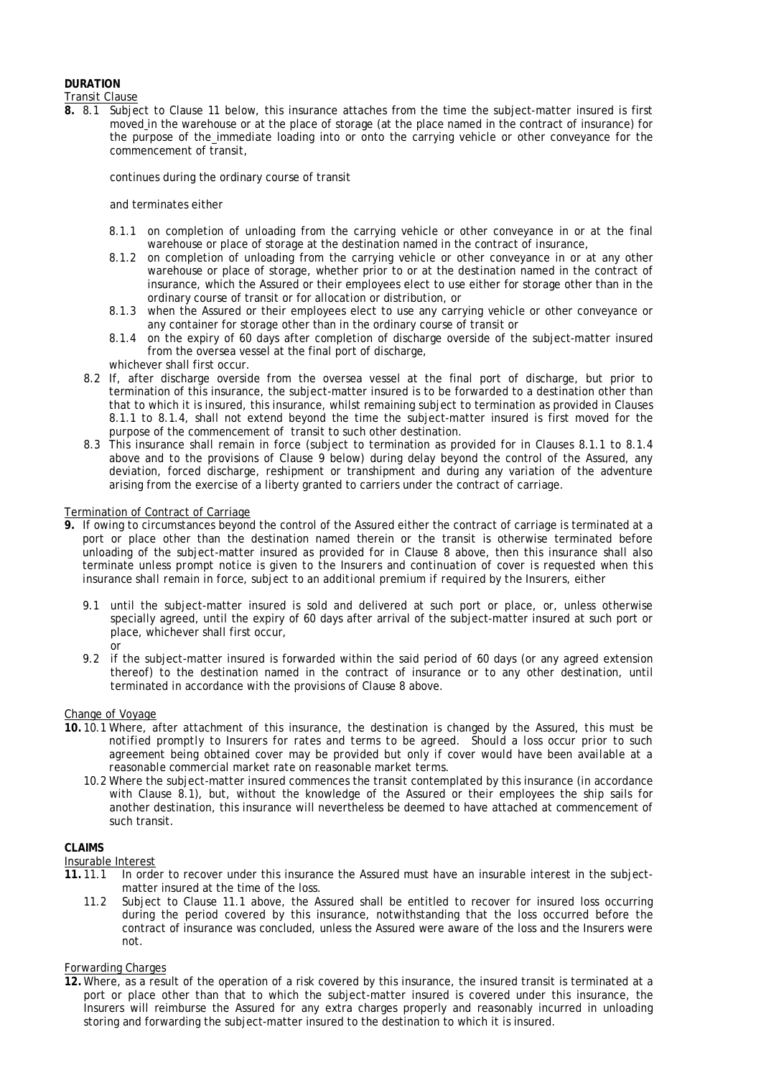# **DURATION**

Transit Clause

**8.** 8.1 Subject to Clause 11 below, this insurance attaches from the time the subject-matter insured is first moved in the warehouse or at the place of storage (at the place named in the contract of insurance) for the purpose of the immediate loading into or onto the carrying vehicle or other conveyance for the commencement of transit,

continues during the ordinary course of transit

#### and terminates either

- 8.1.1 on completion of unloading from the carrying vehicle or other conveyance in or at the final warehouse or place of storage at the destination named in the contract of insurance,
- 8.1.2 on completion of unloading from the carrying vehicle or other conveyance in or at any other warehouse or place of storage, whether prior to or at the destination named in the contract of insurance, which the Assured or their employees elect to use either for storage other than in the ordinary course of transit or for allocation or distribution, or
- 8.1.3 when the Assured or their employees elect to use any carrying vehicle or other conveyance or any container for storage other than in the ordinary course of transit or
- 8.1.4 on the expiry of 60 days after completion of discharge overside of the subject-matter insured from the oversea vessel at the final port of discharge,
- whichever shall first occur.
- 8.2 If, after discharge overside from the oversea vessel at the final port of discharge, but prior to termination of this insurance, the subject-matter insured is to be forwarded to a destination other than that to which it is insured, this insurance, whilst remaining subject to termination as provided in Clauses 8.1.1 to 8.1.4, shall not extend beyond the time the subject-matter insured is first moved for the purpose of the commencement of transit to such other destination.
- 8.3 This insurance shall remain in force (subject to termination as provided for in Clauses 8.1.1 to 8.1.4 above and to the provisions of Clause 9 below) during delay beyond the control of the Assured, any deviation, forced discharge, reshipment or transhipment and during any variation of the adventure arising from the exercise of a liberty granted to carriers under the contract of carriage.

#### Termination of Contract of Carriage

- **9.** If owing to circumstances beyond the control of the Assured either the contract of carriage is terminated at a port or place other than the destination named therein or the transit is otherwise terminated before unloading of the subject-matter insured as provided for in Clause 8 above, then this insurance shall also terminate *unless prompt notice is given to the Insurers and continuation of cover is requested when this insurance shall remain in force, subject to an additional premium if required by the Insurers*, either
	- 9.1 until the subject-matter insured is sold and delivered at such port or place, or, unless otherwise specially agreed, until the expiry of 60 days after arrival of the subject-matter insured at such port or place, whichever shall first occur, or
	- 9.2 if the subject-matter insured is forwarded within the said period of 60 days (or any agreed extension thereof) to the destination named in the contract of insurance or to any other destination, until terminated in accordance with the provisions of Clause 8 above.

#### Change of Voyage

- **10.** 10.1 Where, after attachment of this insurance, the destination is changed by the Assured, *this must be notified promptly to Insurers for rates and terms to be agreed. Should a loss occur prior to such agreement being obtained cover may be provided but only if cover would have been available at a reasonable commercial market rate on reasonable market terms.* 
	- 10.2 Where the subject-matter insured commences the transit contemplated by this insurance (in accordance with Clause 8.1), but, without the knowledge of the Assured or their employees the ship sails for another destination, this insurance will nevertheless be deemed to have attached at commencement of such transit.

#### **CLAIMS**

#### Insurable Interest

- **11.** 11.1 In order to recover under this insurance the Assured must have an insurable interest in the subjectmatter insured at the time of the loss.
	- 11.2 Subject to Clause 11.1 above, the Assured shall be entitled to recover for insured loss occurring during the period covered by this insurance, notwithstanding that the loss occurred before the contract of insurance was concluded, unless the Assured were aware of the loss and the Insurers were not.

## Forwarding Charges

**12.**Where, as a result of the operation of a risk covered by this insurance, the insured transit is terminated at a port or place other than that to which the subject-matter insured is covered under this insurance, the Insurers will reimburse the Assured for any extra charges properly and reasonably incurred in unloading storing and forwarding the subject-matter insured to the destination to which it is insured.